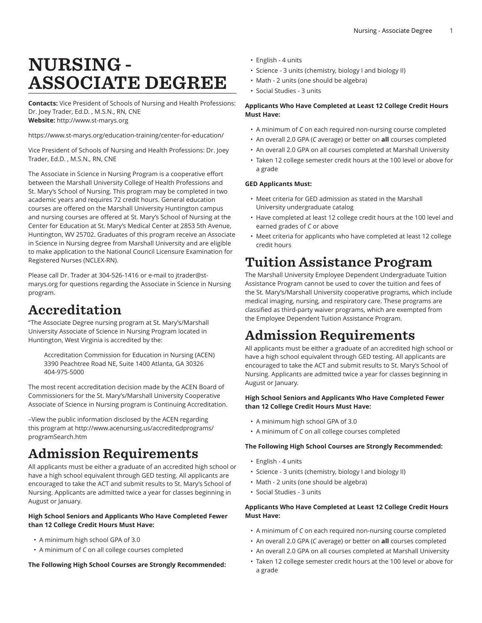# NURSING - ASSOCIATE DEGREE

**Contacts:** Vice President of Schools of Nursing and Health Professions: Dr. Joey Trader, Ed.D. , M.S.N., RN, CNE **Website:** <http://www.st-marys.org>

<https://www.st-marys.org/education-training/center-for-education/>

Vice President of Schools of Nursing and Health Professions: Dr. Joey Trader, Ed.D. , M.S.N., RN, CNE

The Associate in Science in Nursing Program is a cooperative effort between the Marshall University College of Health Professions and St. Mary's School of Nursing. This program may be completed in two academic years and requires 72 credit hours. General education courses are offered on the Marshall University Huntington campus and nursing courses are offered at St. Mary's School of Nursing at the Center for Education at St. Mary's Medical Center at 2853 5th Avenue, Huntington, WV 25702. Graduates of this program receive an Associate in Science in Nursing degree from Marshall University and are eligible to make application to the National Council Licensure Examination for Registered Nurses (NCLEX-RN).

Please call Dr. Trader at 304-526-1416 or e-mail to [jtrader@st](mailto:jtrader@st-marys.org)[marys.org](mailto:jtrader@st-marys.org) for questions regarding the Associate in Science in Nursing program.

# Accreditation

"The Associate Degree nursing program at St. Mary's/Marshall University Associate of Science in Nursing Program located in Huntington, West Virginia is accredited by the:

Accreditation Commission for Education in Nursing (ACEN) 3390 Peachtree Road NE, Suite 1400 Atlanta, GA 30326 404-975-5000

The most recent accreditation decision made by the ACEN Board of Commissioners for the St. Mary's/Marshall University Cooperative Associate of Science in Nursing program is Continuing Accreditation.

–View the public information disclosed by the ACEN regarding this program at [http://www.acenursing.us/accreditedprograms/](http://www.acenursing.us/accreditedprograms/programSearch.htm) [programSearch.htm](http://www.acenursing.us/accreditedprograms/programSearch.htm)

# Admission Requirements

All applicants must be either a graduate of an accredited high school or have a high school equivalent through GED testing. All applicants are encouraged to take the ACT and submit results to St. Mary's School of Nursing. Applicants are admitted twice a year for classes beginning in August or January.

# **High School Seniors and Applicants Who Have Completed Fewer than 12 College Credit Hours Must Have:**

- A minimum high school GPA of 3.0
- A minimum of *C* on all college courses completed

**The Following High School Courses are Strongly Recommended:**

- English 4 units
- Science 3 units (chemistry, biology I and biology II)
- Math 2 units (one should be algebra)
- Social Studies 3 units

## **Applicants Who Have Completed at Least 12 College Credit Hours Must Have:**

- A minimum of *C* on each required non-nursing course completed
- An overall 2.0 GPA (*C* average) or better on **all** courses completed
- An overall 2.0 GPA on all courses completed at Marshall University
- Taken 12 college semester credit hours at the 100 level or above for a grade

## **GED Applicants Must:**

- Meet criteria for GED admission as stated in the Marshall University undergraduate catalog
- Have completed at least 12 college credit hours at the 100 level and earned grades of *C* or above
- Meet criteria for applicants who have completed at least 12 college credit hours

# Tuition Assistance Program

The Marshall University Employee Dependent Undergraduate Tuition Assistance Program cannot be used to cover the tuition and fees of the St. Mary's/Marshall University cooperative programs, which include medical imaging, nursing, and respiratory care. These programs are classified as third-party waiver programs, which are exempted from the Employee Dependent Tuition Assistance Program.

# Admission Requirements

All applicants must be either a graduate of an accredited high school or have a high school equivalent through GED testing. All applicants are encouraged to take the ACT and submit results to St. Mary's School of Nursing. Applicants are admitted twice a year for classes beginning in August or January.

# **High School Seniors and Applicants Who Have Completed Fewer than 12 College Credit Hours Must Have:**

- A minimum high school GPA of 3.0
- A minimum of *C* on all college courses completed

## **The Following High School Courses are Strongly Recommended:**

- English 4 units
- Science 3 units (chemistry, biology I and biology II)
- Math 2 units (one should be algebra)
- Social Studies 3 units

## **Applicants Who Have Completed at Least 12 College Credit Hours Must Have:**

- A minimum of *C* on each required non-nursing course completed
- An overall 2.0 GPA (*C* average) or better on **all** courses completed
- An overall 2.0 GPA on all courses completed at Marshall University
- Taken 12 college semester credit hours at the 100 level or above for a grade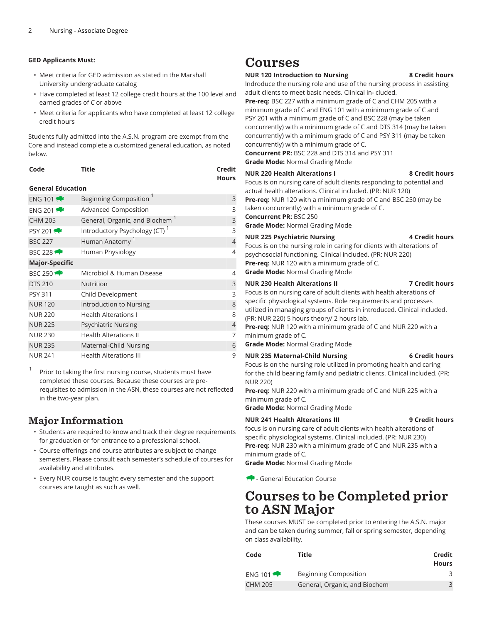## **GED Applicants Must:**

- Meet criteria for GED admission as stated in the Marshall University undergraduate catalog
- Have completed at least 12 college credit hours at the 100 level and earned grades of *C* or above
- Meet criteria for applicants who have completed at least 12 college credit hours

Students fully admitted into the A.S.N. program are exempt from the Core and instead complete a customized general education, as noted below.

| Code | <b>Title</b> | Credit       |
|------|--------------|--------------|
|      |              | <b>Hours</b> |

### **General Education**

| ENG 101 $\rightarrow$ | <b>Beginning Composition</b>              | 3              |
|-----------------------|-------------------------------------------|----------------|
| ENG 201               | <b>Advanced Composition</b>               | 3              |
| <b>CHM 205</b>        | General, Organic, and Biochem             | 3              |
| <b>PSY 2011</b>       | Introductory Psychology (CT) <sup>1</sup> | 3              |
| <b>BSC 227</b>        | Human Anatomy <sup>1</sup>                | $\overline{4}$ |
| <b>BSC 228</b>        | Human Physiology                          | 4              |
| <b>Major-Specific</b> |                                           |                |
| <b>BSC 250 1</b>      | Microbiol & Human Disease                 | 4              |
| <b>DTS 210</b>        | <b>Nutrition</b>                          | 3              |
| <b>PSY 311</b>        | Child Development                         | 3              |
| <b>NUR120</b>         | Introduction to Nursing                   | 8              |
| <b>NUR 220</b>        | <b>Health Alterations L</b>               | 8              |
| <b>NUR 225</b>        | <b>Psychiatric Nursing</b>                | $\overline{4}$ |
| <b>NUR 230</b>        | <b>Health Alterations II</b>              | 7              |
| <b>NUR 235</b>        | Maternal-Child Nursing                    | 6              |
| <b>NUR 241</b>        | <b>Health Alterations III</b>             | 9              |

1 Prior to taking the first nursing course, students must have completed these courses. Because these courses are prerequisites to admission in the ASN, these courses are not reflected in the two-year plan.

# Major Information

- Students are required to know and track their degree requirements for graduation or for entrance to a professional school.
- Course offerings and course attributes are subject to change semesters. Please consult each semester's schedule of courses for availability and attributes.
- Every NUR course is taught every semester and the support courses are taught as such as well.

# Courses

### **NUR 120 Introduction to Nursing 8 Credit hours**

Indroduce the nursing role and use of the nursing process in assisting adult clients to meet basic needs. Clinical in- cluded.

**Pre-req:** BSC 227 with a minimum grade of C and CHM 205 with a minimum grade of C and ENG 101 with a minimum grade of C and PSY 201 with a minimum grade of C and BSC 228 (may be taken concurrently) with a minimum grade of C and DTS 314 (may be taken concurrently) with a minimum grade of C and PSY 311 (may be taken concurrently) with a minimum grade of C.

**Concurrent PR:** BSC 228 and DTS 314 and PSY 311

**Grade Mode:** Normal Grading Mode

#### **NUR 220 Health Alterations I 8 Credit hours**

Focus is on nursing care of adult clients responding to potential and actual health alterations. Clinical included. (PR: NUR 120) **Pre-req:** NUR 120 with a minimum grade of C and BSC 250 (may be taken concurrently) with a minimum grade of C. **Concurrent PR:** BSC 250 **Grade Mode:** Normal Grading Mode

# **NUR 225 Psychiatric Nursing 4 Credit hours**

Focus is on the nursing role in caring for clients with alterations of psychosocial functioning. Clinical included. (PR: NUR 220) **Pre-req:** NUR 120 with a minimum grade of C. **Grade Mode:** Normal Grading Mode

# **NUR 230 Health Alterations II 7 Credit hours**

Focus is on nursing care of adult clients with health alterations of specific physiological systems. Role requirements and processes utilized in managing groups of clients in introduced. Clinical included. (PR: NUR 220) 5 hours theory/ 2 hours lab.

**Pre-req:** NUR 120 with a minimum grade of C and NUR 220 with a minimum grade of C.

**Grade Mode:** Normal Grading Mode

## **NUR 235 Maternal-Child Nursing 6 Credit hours**

Focus is on the nursing role utilized in promoting health and caring for the child bearing family and pediatric clients. Clinical included. (PR: NUR 220)

**Pre-req:** NUR 220 with a minimum grade of C and NUR 225 with a minimum grade of C.

**Grade Mode:** Normal Grading Mode

## **NUR 241 Health Alterations III 9 Credit hours**

focus is on nursing care of adult clients with health alterations of specific physiological systems. Clinical included. (PR: NUR 230) **Pre-req:** NUR 230 with a minimum grade of C and NUR 235 with a minimum grade of C.

**Grade Mode:** Normal Grading Mode

- General Education Course

# Courses to be Completed prior to ASN Major

These courses MUST be completed prior to entering the A.S.N. major and can be taken during summer, fall or spring semester, depending on class availability.

| Code              | Title                         | Credit<br>Hours |
|-------------------|-------------------------------|-----------------|
| ENG 101 $\bullet$ | Beginning Composition         |                 |
| <b>CHM 205</b>    | General, Organic, and Biochem | $\mathcal{L}$   |